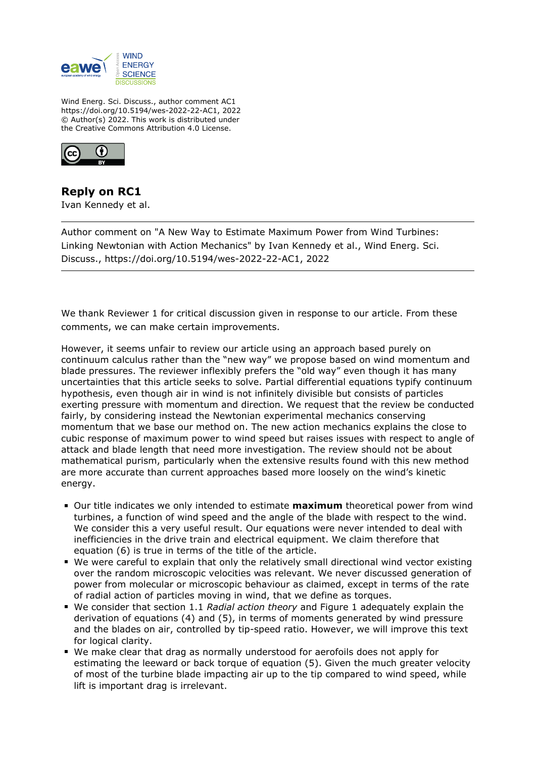

Wind Energ. Sci. Discuss., author comment AC1 https://doi.org/10.5194/wes-2022-22-AC1, 2022 © Author(s) 2022. This work is distributed under the Creative Commons Attribution 4.0 License.



**Reply on RC1** Ivan Kennedy et al.

Author comment on "A New Way to Estimate Maximum Power from Wind Turbines: Linking Newtonian with Action Mechanics" by Ivan Kennedy et al., Wind Energ. Sci. Discuss., https://doi.org/10.5194/wes-2022-22-AC1, 2022

We thank Reviewer 1 for critical discussion given in response to our article. From these comments, we can make certain improvements.

However, it seems unfair to review our article using an approach based purely on continuum calculus rather than the "new way" we propose based on wind momentum and blade pressures. The reviewer inflexibly prefers the "old way" even though it has many uncertainties that this article seeks to solve. Partial differential equations typify continuum hypothesis, even though air in wind is not infinitely divisible but consists of particles exerting pressure with momentum and direction. We request that the review be conducted fairly, by considering instead the Newtonian experimental mechanics conserving momentum that we base our method on. The new action mechanics explains the close to cubic response of maximum power to wind speed but raises issues with respect to angle of attack and blade length that need more investigation. The review should not be about mathematical purism, particularly when the extensive results found with this new method are more accurate than current approaches based more loosely on the wind's kinetic energy.

- Our title indicates we only intended to estimate **maximum** theoretical power from wind turbines, a function of wind speed and the angle of the blade with respect to the wind. We consider this a very useful result. Our equations were never intended to deal with inefficiencies in the drive train and electrical equipment. We claim therefore that equation (6) is true in terms of the title of the article.
- We were careful to explain that only the relatively small directional wind vector existing over the random microscopic velocities was relevant. We never discussed generation of power from molecular or microscopic behaviour as claimed, except in terms of the rate of radial action of particles moving in wind, that we define as torques.
- We consider that section 1.1 *Radial action theory* and Figure 1 adequately explain the derivation of equations (4) and (5), in terms of moments generated by wind pressure and the blades on air, controlled by tip-speed ratio. However, we will improve this text for logical clarity.
- We make clear that drag as normally understood for aerofoils does not apply for estimating the leeward or back torque of equation (5). Given the much greater velocity of most of the turbine blade impacting air up to the tip compared to wind speed, while lift is important drag is irrelevant.